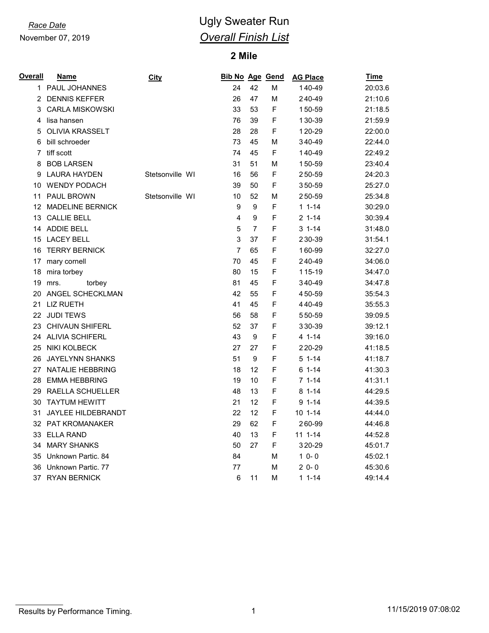November 07, 2019

# *Race Date* **CONSISTENT CONSISTENT** Ugly Sweater Run *Overall Finish List*

## **Mile**

| <b>Overall</b> | <u>Name</u>               | City            | Bib No Age Gend |                |   | <b>AG Place</b> | <b>Time</b> |
|----------------|---------------------------|-----------------|-----------------|----------------|---|-----------------|-------------|
| 1              | PAUL JOHANNES             |                 | 24              | 42             | М | 140-49          | 20:03.6     |
| 2              | <b>DENNIS KEFFER</b>      |                 | 26              | 47             | M | 240-49          | 21:10.6     |
| 3              | <b>CARLA MISKOWSKI</b>    |                 | 33              | 53             | F | 150-59          | 21:18.5     |
| 4              | lisa hansen               |                 | 76              | 39             | F | 130-39          | 21:59.9     |
| 5              | <b>OLIVIA KRASSELT</b>    |                 | 28              | 28             | F | 120-29          | 22:00.0     |
| 6              | bill schroeder            |                 | 73              | 45             | М | 340-49          | 22:44.0     |
| 7              | tiff scott                |                 | 74              | 45             | F | 140-49          | 22:49.2     |
| 8              | <b>BOB LARSEN</b>         |                 | 31              | 51             | M | 150-59          | 23:40.4     |
| 9              | <b>LAURA HAYDEN</b>       | Stetsonville WI | 16              | 56             | F | 250-59          | 24:20.3     |
| 10             | <b>WENDY PODACH</b>       |                 | 39              | 50             | F | 350-59          | 25:27.0     |
| 11             | <b>PAUL BROWN</b>         | Stetsonville WI | 10              | 52             | М | 250-59          | 25:34.8     |
| 12             | <b>MADELINE BERNICK</b>   |                 | 9               | 9              | F | $11 - 14$       | 30:29.0     |
| 13             | <b>CALLIE BELL</b>        |                 | 4               | 9              | F | $21-14$         | 30:39.4     |
| 14             | <b>ADDIE BELL</b>         |                 | 5               | $\overline{7}$ | F | $31 - 14$       | 31:48.0     |
| 15             | <b>LACEY BELL</b>         |                 | 3               | 37             | F | 230-39          | 31:54.1     |
| 16             | <b>TERRY BERNICK</b>      |                 | $\overline{7}$  | 65             | F | 160-99          | 32:27.0     |
|                | 17 mary cornell           |                 | 70              | 45             | F | 240-49          | 34:06.0     |
| 18             | mira torbey               |                 | 80              | 15             | F | 115-19          | 34:47.0     |
| 19             | torbey<br>mrs.            |                 | 81              | 45             | F | 340-49          | 34:47.8     |
| 20             | ANGEL SCHECKLMAN          |                 | 42              | 55             | F | 450-59          | 35:54.3     |
| 21             | <b>LIZ RUETH</b>          |                 | 41              | 45             | F | 440-49          | 35:55.3     |
| 22             | <b>JUDI TEWS</b>          |                 | 56              | 58             | F | 550-59          | 39:09.5     |
| 23             | <b>CHIVAUN SHIFERL</b>    |                 | 52              | 37             | F | 330-39          | 39:12.1     |
| 24             | <b>ALIVIA SCHIFERL</b>    |                 | 43              | 9              | F | 4 1-14          | 39:16.0     |
| 25             | <b>NIKI KOLBECK</b>       |                 | 27              | 27             | F | 220-29          | 41:18.5     |
| 26             | <b>JAYELYNN SHANKS</b>    |                 | 51              | 9              | F | $51-14$         | 41:18.7     |
| 27             | NATALIE HEBBRING          |                 | 18              | 12             | F | $61 - 14$       | 41:30.3     |
| 28             | <b>EMMA HEBBRING</b>      |                 | 19              | 10             | F | $71-14$         | 41:31.1     |
| 29             | RAELLA SCHUELLER          |                 | 48              | 13             | F | $81 - 14$       | 44:29.5     |
| 30             | <b>TAYTUM HEWITT</b>      |                 | 21              | 12             | F | $91 - 14$       | 44:39.5     |
| 31             | <b>JAYLEE HILDEBRANDT</b> |                 | 22              | 12             | F | $101 - -14$     | 44:44.0     |
|                | 32 PAT KROMANAKER         |                 | 29              | 62             | F | 260-99          | 44:46.8     |
| 33             | <b>ELLA RAND</b>          |                 | 40              | 13             | F | $11 1 - 14$     | 44:52.8     |
| 34             | <b>MARY SHANKS</b>        |                 | 50              | 27             | F | 320-29          | 45:01.7     |
| 35             | Unknown Partic. 84        |                 | 84              |                | M | $10 - 0$        | 45:02.1     |
| 36             | Unknown Partic. 77        |                 | 77              |                | М | $20-0$          | 45:30.6     |
| 37             | <b>RYAN BERNICK</b>       |                 | 6               | 11             | М | $11 - 14$       | 49:14.4     |

Results by Performance Timing. 2001 120 MHz (11/15/2019 07:08:02